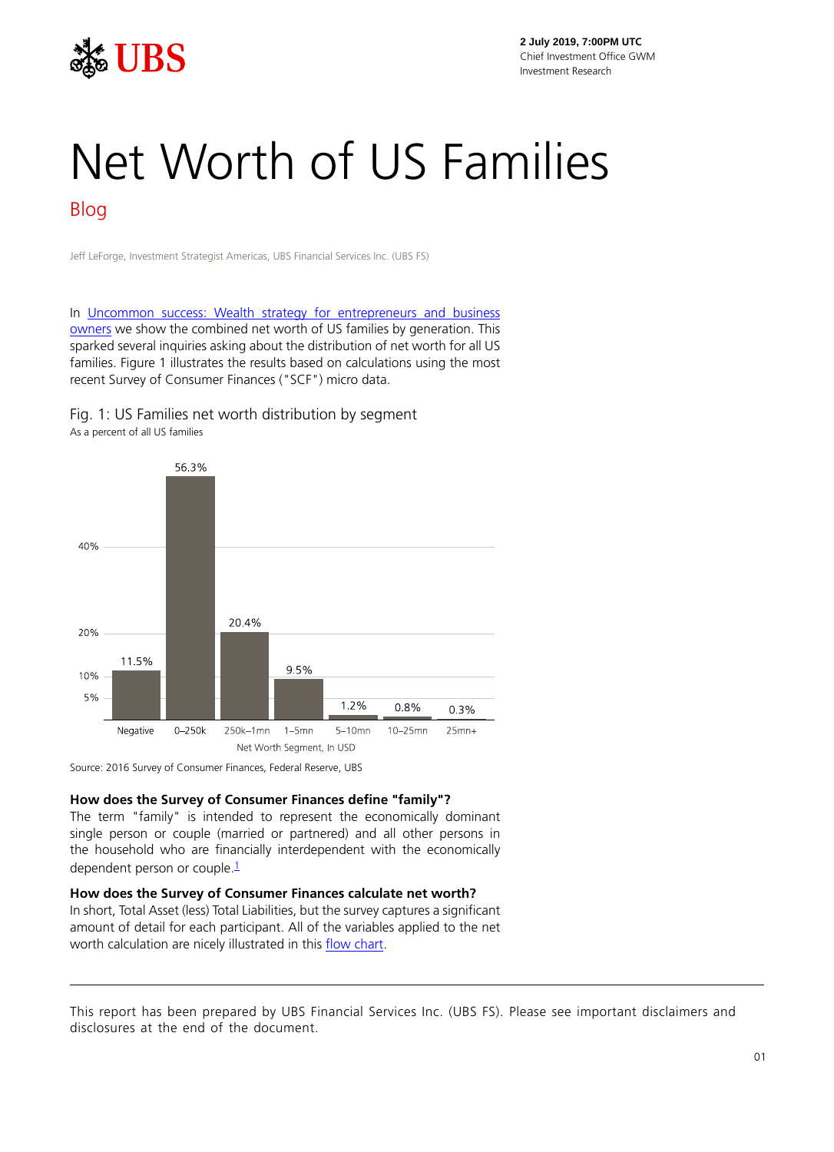

**2 July 2019, 7:00PM UTC** Chief Investment Office GWM Investment Research

# Net Worth of US Families Blog

Jeff LeForge, Investment Strategist Americas, UBS Financial Services Inc. (UBS FS)

In [Uncommon success: Wealth strategy for entrepreneurs and business](https://www.ubs.com/content/dam/WealthManagementAmericas/documents/uncsuc.pdf?) [owners](https://www.ubs.com/content/dam/WealthManagementAmericas/documents/uncsuc.pdf?) we show the combined net worth of US families by generation. This sparked several inquiries asking about the distribution of net worth for all US families. Figure 1 illustrates the results based on calculations using the most recent Survey of Consumer Finances ("SCF") micro data.

Fig. 1: US Families net worth distribution by segment As a percent of all US families



Source: 2016 Survey of Consumer Finances, Federal Reserve, UBS

#### **How does the Survey of Consumer Finances define "family"?**

The term "family" is intended to represent the economically dominant single person or couple (married or partnered) and all other persons in the household who are financially interdependent with the economically dependent person or couple  $\frac{1}{1}$  $\frac{1}{1}$  $\frac{1}{1}$ 

### **How does the Survey of Consumer Finances calculate net worth?**

In short, Total Asset (less) Total Liabilities, but the survey captures a significant amount of detail for each participant. All of the variables applied to the net worth calculation are nicely illustrated in this [flow chart.](https://www.federalreserve.gov/econres/files/Networth%20Flowchart.pdf?)

This report has been prepared by UBS Financial Services Inc. (UBS FS). Please see important disclaimers and disclosures at the end of the document.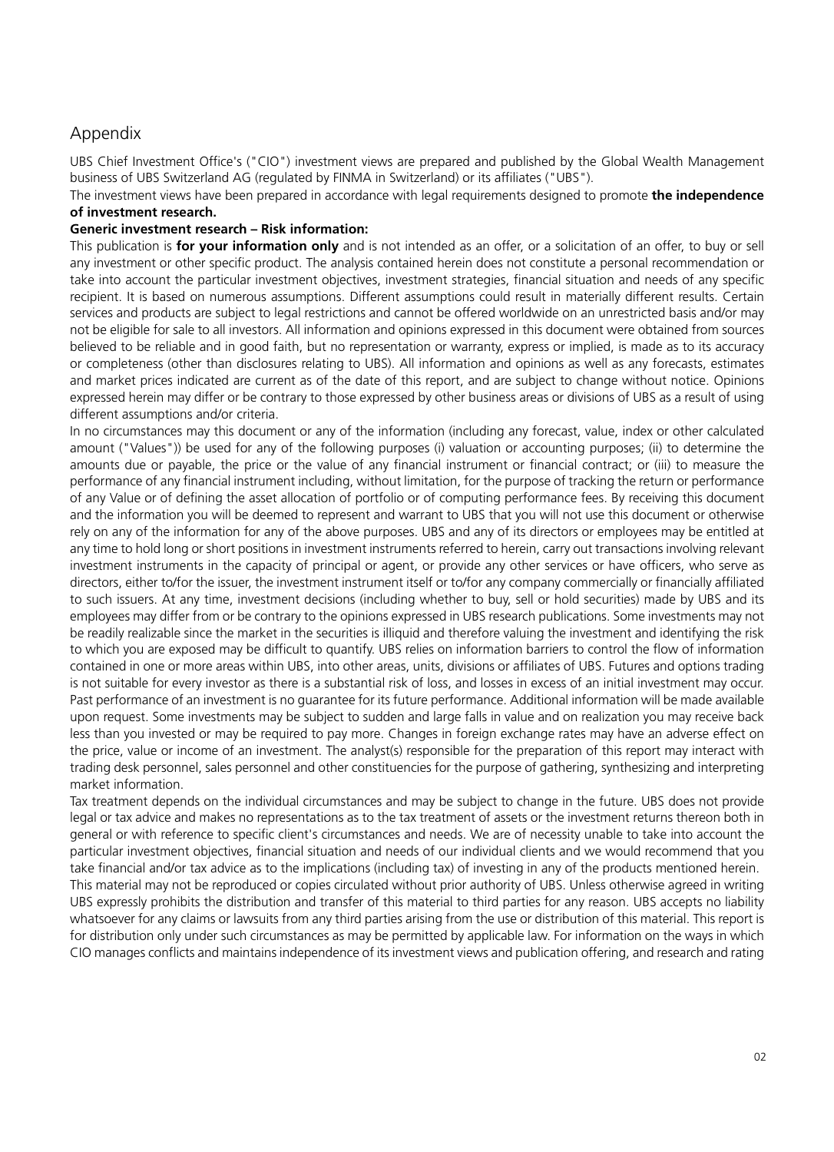## Appendix

UBS Chief Investment Office's ("CIO") investment views are prepared and published by the Global Wealth Management business of UBS Switzerland AG (regulated by FINMA in Switzerland) or its affiliates ("UBS").

The investment views have been prepared in accordance with legal requirements designed to promote **the independence of investment research.**

### **Generic investment research – Risk information:**

This publication is **for your information only** and is not intended as an offer, or a solicitation of an offer, to buy or sell any investment or other specific product. The analysis contained herein does not constitute a personal recommendation or take into account the particular investment objectives, investment strategies, financial situation and needs of any specific recipient. It is based on numerous assumptions. Different assumptions could result in materially different results. Certain services and products are subject to legal restrictions and cannot be offered worldwide on an unrestricted basis and/or may not be eligible for sale to all investors. All information and opinions expressed in this document were obtained from sources believed to be reliable and in good faith, but no representation or warranty, express or implied, is made as to its accuracy or completeness (other than disclosures relating to UBS). All information and opinions as well as any forecasts, estimates and market prices indicated are current as of the date of this report, and are subject to change without notice. Opinions expressed herein may differ or be contrary to those expressed by other business areas or divisions of UBS as a result of using different assumptions and/or criteria.

In no circumstances may this document or any of the information (including any forecast, value, index or other calculated amount ("Values")) be used for any of the following purposes (i) valuation or accounting purposes; (ii) to determine the amounts due or payable, the price or the value of any financial instrument or financial contract; or (iii) to measure the performance of any financial instrument including, without limitation, for the purpose of tracking the return or performance of any Value or of defining the asset allocation of portfolio or of computing performance fees. By receiving this document and the information you will be deemed to represent and warrant to UBS that you will not use this document or otherwise rely on any of the information for any of the above purposes. UBS and any of its directors or employees may be entitled at any time to hold long or short positions in investment instruments referred to herein, carry out transactions involving relevant investment instruments in the capacity of principal or agent, or provide any other services or have officers, who serve as directors, either to/for the issuer, the investment instrument itself or to/for any company commercially or financially affiliated to such issuers. At any time, investment decisions (including whether to buy, sell or hold securities) made by UBS and its employees may differ from or be contrary to the opinions expressed in UBS research publications. Some investments may not be readily realizable since the market in the securities is illiquid and therefore valuing the investment and identifying the risk to which you are exposed may be difficult to quantify. UBS relies on information barriers to control the flow of information contained in one or more areas within UBS, into other areas, units, divisions or affiliates of UBS. Futures and options trading is not suitable for every investor as there is a substantial risk of loss, and losses in excess of an initial investment may occur. Past performance of an investment is no guarantee for its future performance. Additional information will be made available upon request. Some investments may be subject to sudden and large falls in value and on realization you may receive back less than you invested or may be required to pay more. Changes in foreign exchange rates may have an adverse effect on the price, value or income of an investment. The analyst(s) responsible for the preparation of this report may interact with trading desk personnel, sales personnel and other constituencies for the purpose of gathering, synthesizing and interpreting market information.

Tax treatment depends on the individual circumstances and may be subject to change in the future. UBS does not provide legal or tax advice and makes no representations as to the tax treatment of assets or the investment returns thereon both in general or with reference to specific client's circumstances and needs. We are of necessity unable to take into account the particular investment objectives, financial situation and needs of our individual clients and we would recommend that you take financial and/or tax advice as to the implications (including tax) of investing in any of the products mentioned herein. This material may not be reproduced or copies circulated without prior authority of UBS. Unless otherwise agreed in writing UBS expressly prohibits the distribution and transfer of this material to third parties for any reason. UBS accepts no liability

whatsoever for any claims or lawsuits from any third parties arising from the use or distribution of this material. This report is for distribution only under such circumstances as may be permitted by applicable law. For information on the ways in which CIO manages conflicts and maintains independence of its investment views and publication offering, and research and rating